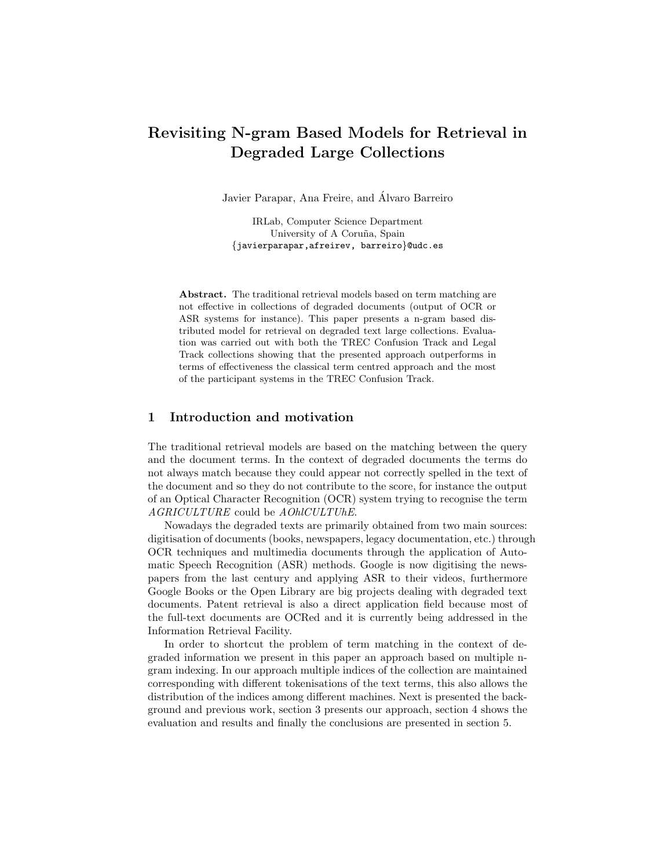# Revisiting N-gram Based Models for Retrieval in Degraded Large Collections

Javier Parapar, Ana Freire, and Alvaro Barreiro ´

IRLab, Computer Science Department University of A Coruña, Spain {javierparapar,afreirev, barreiro}@udc.es

Abstract. The traditional retrieval models based on term matching are not effective in collections of degraded documents (output of OCR or ASR systems for instance). This paper presents a n-gram based distributed model for retrieval on degraded text large collections. Evaluation was carried out with both the TREC Confusion Track and Legal Track collections showing that the presented approach outperforms in terms of effectiveness the classical term centred approach and the most of the participant systems in the TREC Confusion Track.

#### 1 Introduction and motivation

The traditional retrieval models are based on the matching between the query and the document terms. In the context of degraded documents the terms do not always match because they could appear not correctly spelled in the text of the document and so they do not contribute to the score, for instance the output of an Optical Character Recognition (OCR) system trying to recognise the term AGRICULTURE could be AOhlCULTUhE.

Nowadays the degraded texts are primarily obtained from two main sources: digitisation of documents (books, newspapers, legacy documentation, etc.) through OCR techniques and multimedia documents through the application of Automatic Speech Recognition (ASR) methods. Google is now digitising the newspapers from the last century and applying ASR to their videos, furthermore Google Books or the Open Library are big projects dealing with degraded text documents. Patent retrieval is also a direct application field because most of the full-text documents are OCRed and it is currently being addressed in the Information Retrieval Facility.

In order to shortcut the problem of term matching in the context of degraded information we present in this paper an approach based on multiple ngram indexing. In our approach multiple indices of the collection are maintained corresponding with different tokenisations of the text terms, this also allows the distribution of the indices among different machines. Next is presented the background and previous work, section 3 presents our approach, section 4 shows the evaluation and results and finally the conclusions are presented in section 5.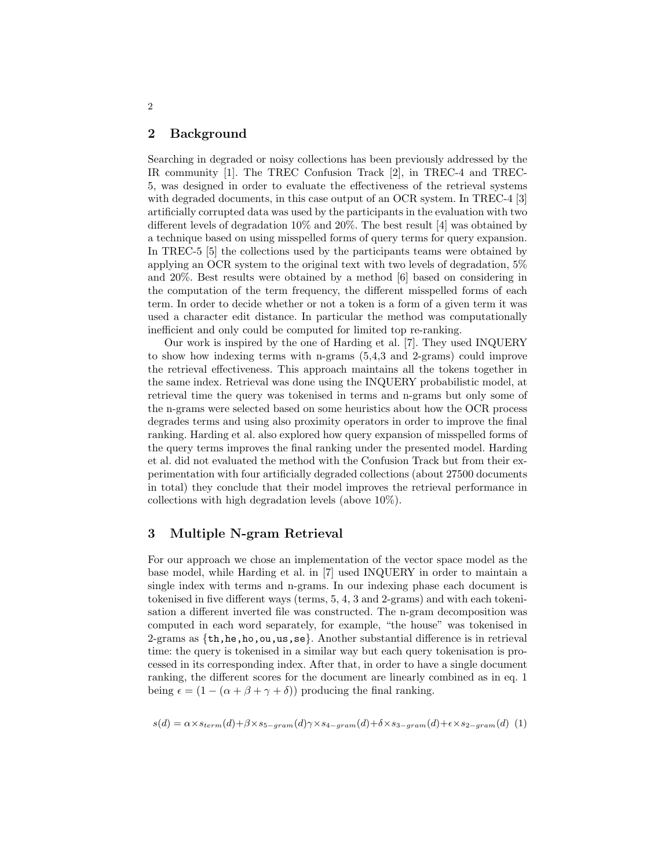#### 2 Background

Searching in degraded or noisy collections has been previously addressed by the IR community [1]. The TREC Confusion Track [2], in TREC-4 and TREC-5, was designed in order to evaluate the effectiveness of the retrieval systems with degraded documents, in this case output of an OCR system. In TREC-4 [3] artificially corrupted data was used by the participants in the evaluation with two different levels of degradation 10% and 20%. The best result [4] was obtained by a technique based on using misspelled forms of query terms for query expansion. In TREC-5 [5] the collections used by the participants teams were obtained by applying an OCR system to the original text with two levels of degradation, 5% and 20%. Best results were obtained by a method [6] based on considering in the computation of the term frequency, the different misspelled forms of each term. In order to decide whether or not a token is a form of a given term it was used a character edit distance. In particular the method was computationally inefficient and only could be computed for limited top re-ranking.

Our work is inspired by the one of Harding et al. [7]. They used INQUERY to show how indexing terms with n-grams (5,4,3 and 2-grams) could improve the retrieval effectiveness. This approach maintains all the tokens together in the same index. Retrieval was done using the INQUERY probabilistic model, at retrieval time the query was tokenised in terms and n-grams but only some of the n-grams were selected based on some heuristics about how the OCR process degrades terms and using also proximity operators in order to improve the final ranking. Harding et al. also explored how query expansion of misspelled forms of the query terms improves the final ranking under the presented model. Harding et al. did not evaluated the method with the Confusion Track but from their experimentation with four artificially degraded collections (about 27500 documents in total) they conclude that their model improves the retrieval performance in collections with high degradation levels (above 10%).

#### 3 Multiple N-gram Retrieval

For our approach we chose an implementation of the vector space model as the base model, while Harding et al. in [7] used INQUERY in order to maintain a single index with terms and n-grams. In our indexing phase each document is tokenised in five different ways (terms, 5, 4, 3 and 2-grams) and with each tokenisation a different inverted file was constructed. The n-gram decomposition was computed in each word separately, for example, "the house" was tokenised in 2-grams as {th,he,ho,ou,us,se}. Another substantial difference is in retrieval time: the query is tokenised in a similar way but each query tokenisation is processed in its corresponding index. After that, in order to have a single document ranking, the different scores for the document are linearly combined as in eq. 1 being  $\epsilon = (1 - (\alpha + \beta + \gamma + \delta))$  producing the final ranking.

$$
s(d) = \alpha \times s_{term}(d) + \beta \times s_{5-gram}(d) \gamma \times s_{4-gram}(d) + \delta \times s_{3-gram}(d) + \epsilon \times s_{2-gram}(d)
$$
 (1)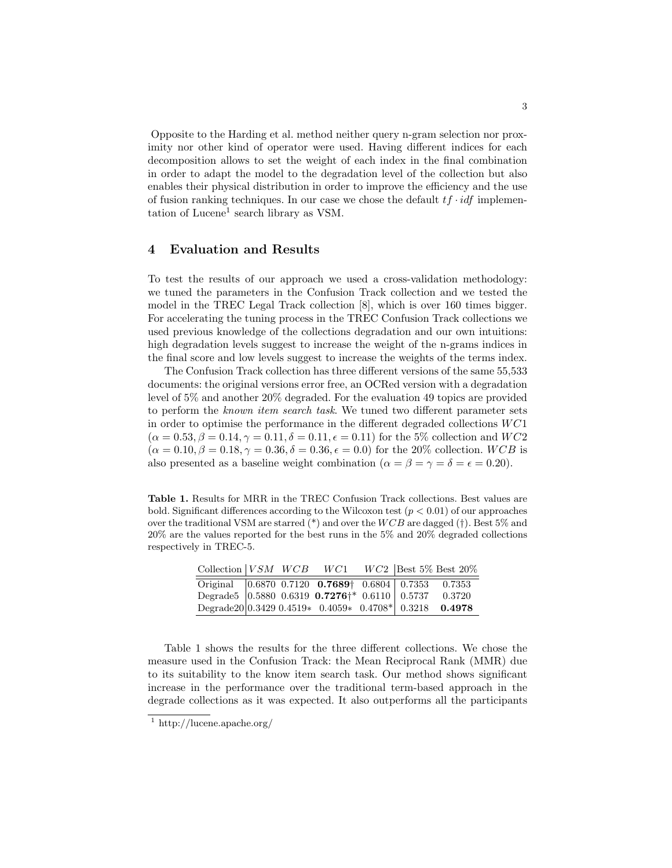Opposite to the Harding et al. method neither query n-gram selection nor proximity nor other kind of operator were used. Having different indices for each decomposition allows to set the weight of each index in the final combination in order to adapt the model to the degradation level of the collection but also enables their physical distribution in order to improve the efficiency and the use of fusion ranking techniques. In our case we chose the default  $tf \cdot idf$  implementation of Lucene<sup>1</sup> search library as VSM.

## 4 Evaluation and Results

To test the results of our approach we used a cross-validation methodology: we tuned the parameters in the Confusion Track collection and we tested the model in the TREC Legal Track collection [8], which is over 160 times bigger. For accelerating the tuning process in the TREC Confusion Track collections we used previous knowledge of the collections degradation and our own intuitions: high degradation levels suggest to increase the weight of the n-grams indices in the final score and low levels suggest to increase the weights of the terms index.

The Confusion Track collection has three different versions of the same 55,533 documents: the original versions error free, an OCRed version with a degradation level of 5% and another 20% degraded. For the evaluation 49 topics are provided to perform the known item search task. We tuned two different parameter sets in order to optimise the performance in the different degraded collections  $WC1$  $(\alpha = 0.53, \beta = 0.14, \gamma = 0.11, \delta = 0.11, \epsilon = 0.11)$  for the 5% collection and WC2  $(\alpha = 0.10, \beta = 0.18, \gamma = 0.36, \delta = 0.36, \epsilon = 0.0)$  for the 20% collection. WCB is also presented as a baseline weight combination ( $\alpha = \beta = \gamma = \delta = \epsilon = 0.20$ ).

Table 1. Results for MRR in the TREC Confusion Track collections. Best values are bold. Significant differences according to the Wilcoxon test  $(p < 0.01)$  of our approaches over the traditional VSM are starred (\*) and over the  $WCB$  are dagged (†). Best 5% and 20% are the values reported for the best runs in the 5% and 20% degraded collections respectively in TREC-5.

| Collection $ VSM WCB WC1 WC2 $ Best 5% Best 20%                                                   |  |  |  |
|---------------------------------------------------------------------------------------------------|--|--|--|
| Original $\begin{array}{ l}$ 0.6870 0.7120 <b>0.7689</b> $\dagger$ 0.6804 0.7353 0.7353           |  |  |  |
| ${\rm Degrade 5\ \left  0.5880\ 0.6319\ 0.7276 \right ^{*}\ 0.6110\ \right \ 0.5737\quad 0.3720}$ |  |  |  |
| Degrade20 0.3429 0.4519* 0.4059* 0.4708* 0.3218 0.4978                                            |  |  |  |

Table 1 shows the results for the three different collections. We chose the measure used in the Confusion Track: the Mean Reciprocal Rank (MMR) due to its suitability to the know item search task. Our method shows significant increase in the performance over the traditional term-based approach in the degrade collections as it was expected. It also outperforms all the participants

<sup>&</sup>lt;sup>1</sup> http://lucene.apache.org/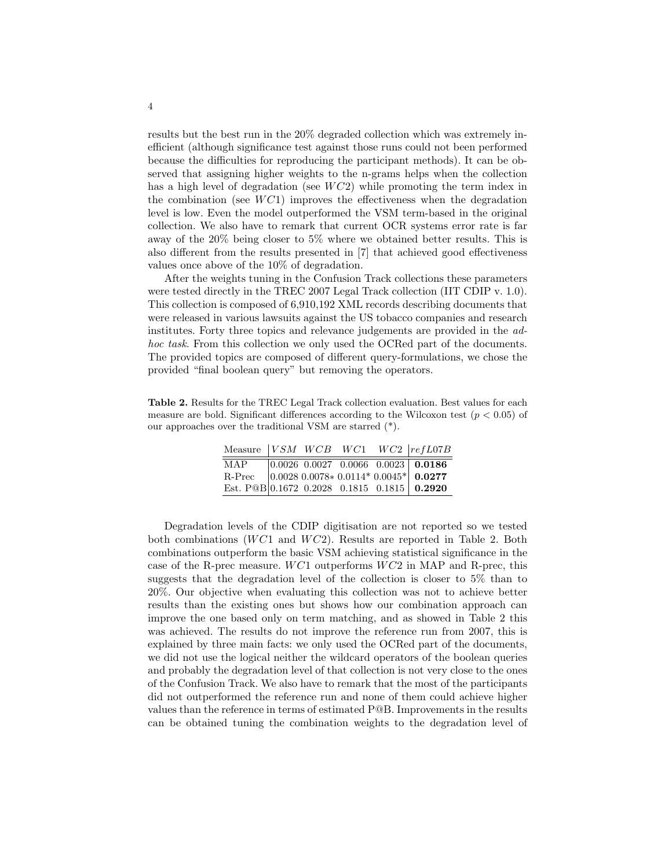results but the best run in the 20% degraded collection which was extremely inefficient (although significance test against those runs could not been performed because the difficulties for reproducing the participant methods). It can be observed that assigning higher weights to the n-grams helps when the collection has a high level of degradation (see  $WC2$ ) while promoting the term index in the combination (see  $WC1$ ) improves the effectiveness when the degradation level is low. Even the model outperformed the VSM term-based in the original collection. We also have to remark that current OCR systems error rate is far away of the 20% being closer to 5% where we obtained better results. This is also different from the results presented in [7] that achieved good effectiveness values once above of the 10% of degradation.

After the weights tuning in the Confusion Track collections these parameters were tested directly in the TREC 2007 Legal Track collection (IIT CDIP v. 1.0). This collection is composed of 6,910,192 XML records describing documents that were released in various lawsuits against the US tobacco companies and research institutes. Forty three topics and relevance judgements are provided in the adhoc task. From this collection we only used the OCRed part of the documents. The provided topics are composed of different query-formulations, we chose the provided "final boolean query" but removing the operators.

Table 2. Results for the TREC Legal Track collection evaluation. Best values for each measure are bold. Significant differences according to the Wilcoxon test ( $p < 0.05$ ) of our approaches over the traditional VSM are starred (\*).

| Measure $ VSM WCB WC1 WC2 refL07B$                                                                                                                                                                     |  |  |  |
|--------------------------------------------------------------------------------------------------------------------------------------------------------------------------------------------------------|--|--|--|
| $\begin{tabular}{ c c c c c} \hline \text{MAP} & 0.0026 & 0.0027 & 0.0066 & 0.0023 & \textbf{0.0186} \\ \text{R-Prec} & 0.0028 & 0.0078* & 0.0114* & 0.0045 & \textbf{0.0277} \\ \hline \end{tabular}$ |  |  |  |
|                                                                                                                                                                                                        |  |  |  |
| Est. P@B 0.1672 0.2028 0.1815 0.1815 0.2920                                                                                                                                                            |  |  |  |

Degradation levels of the CDIP digitisation are not reported so we tested both combinations  $(WC1$  and  $WC2)$ . Results are reported in Table 2. Both combinations outperform the basic VSM achieving statistical significance in the case of the R-prec measure.  $WC1$  outperforms  $WC2$  in MAP and R-prec, this suggests that the degradation level of the collection is closer to 5% than to 20%. Our objective when evaluating this collection was not to achieve better results than the existing ones but shows how our combination approach can improve the one based only on term matching, and as showed in Table 2 this was achieved. The results do not improve the reference run from 2007, this is explained by three main facts: we only used the OCRed part of the documents, we did not use the logical neither the wildcard operators of the boolean queries and probably the degradation level of that collection is not very close to the ones of the Confusion Track. We also have to remark that the most of the participants did not outperformed the reference run and none of them could achieve higher values than the reference in terms of estimated P@B. Improvements in the results can be obtained tuning the combination weights to the degradation level of